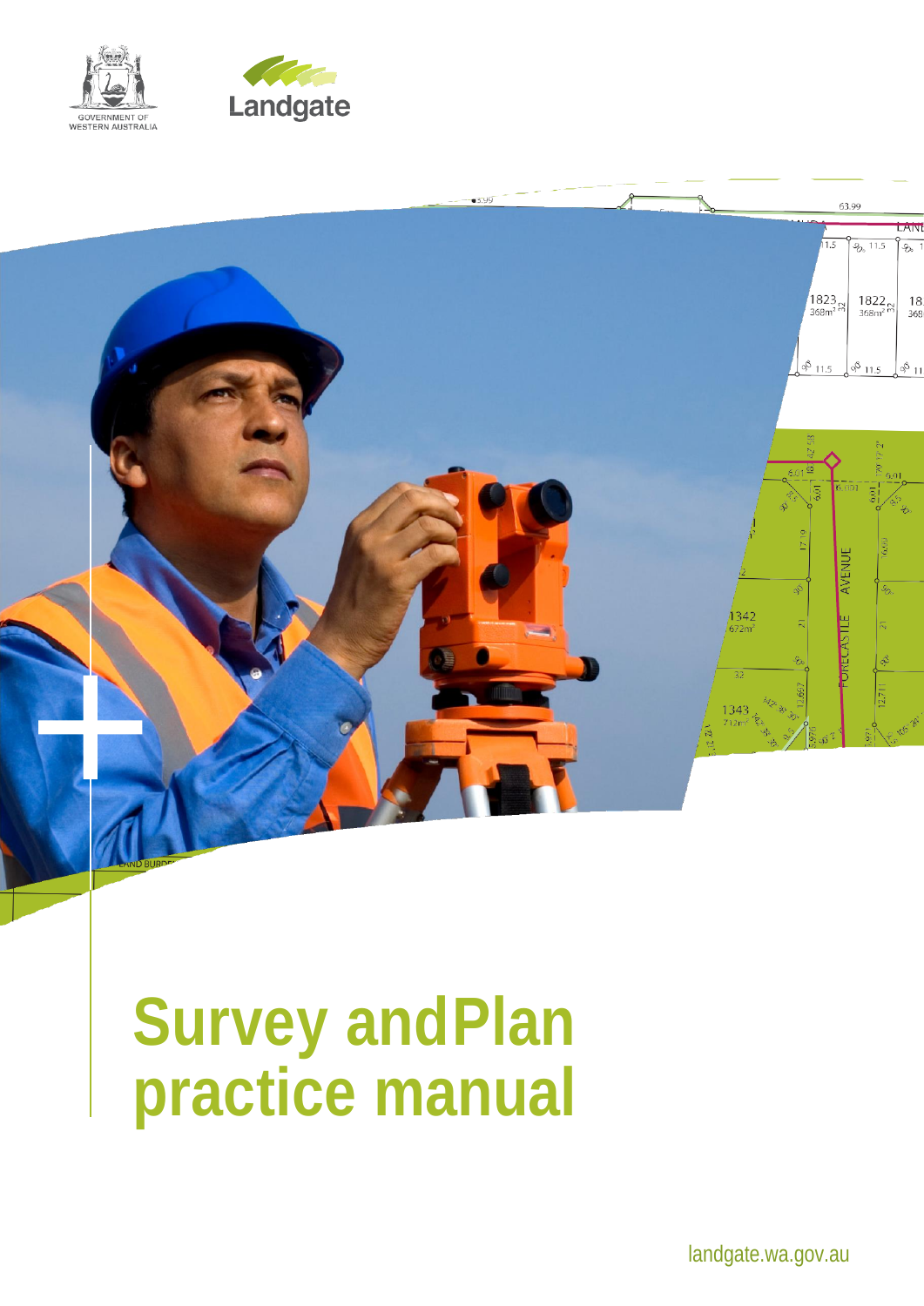





# **Survey andPlan practice manual**

landgate.wa.gov.au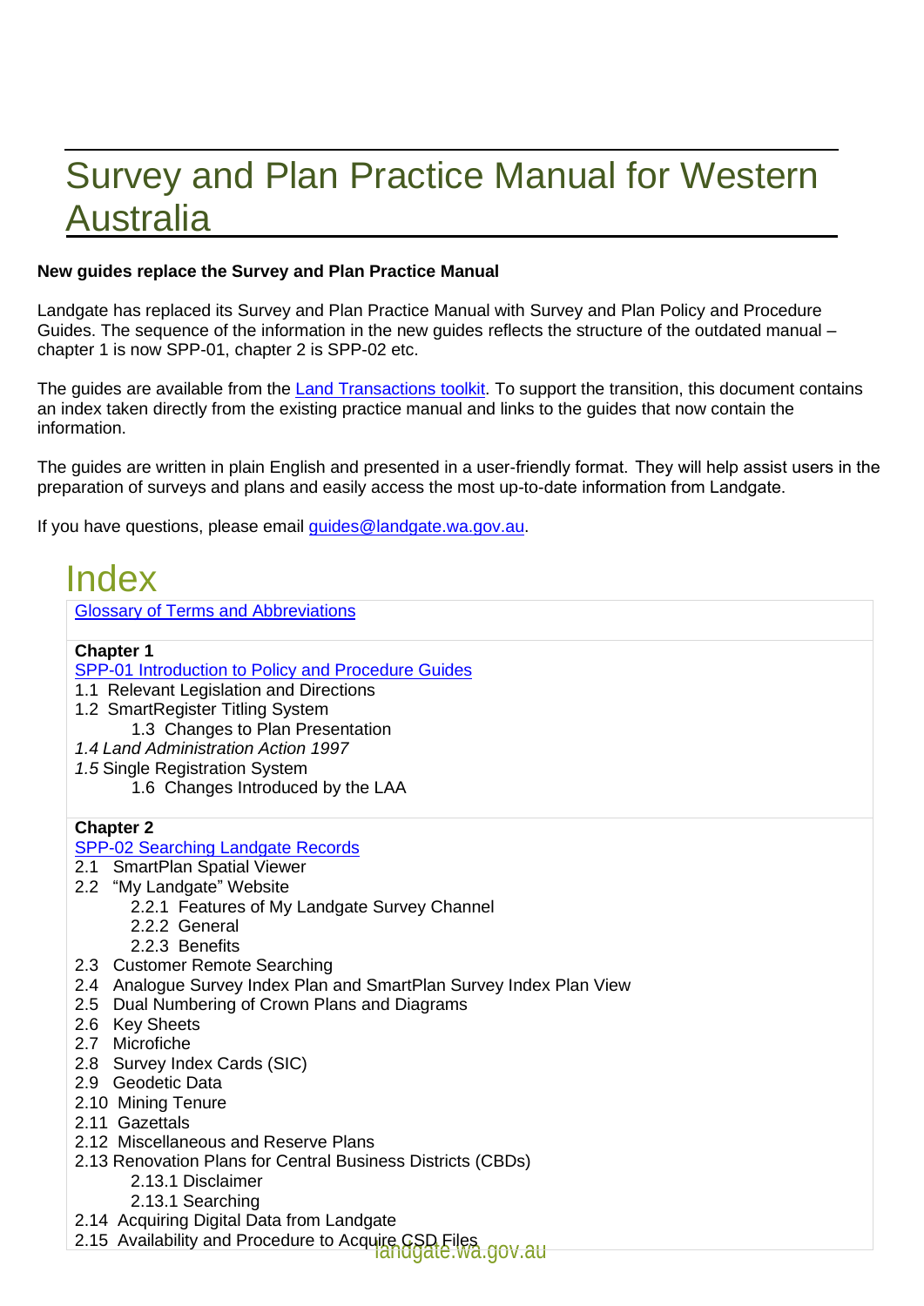# Survey and Plan Practice Manual for Western Australia

#### **New guides replace the Survey and Plan Practice Manual**

Landgate has replaced its Survey and Plan Practice Manual with Survey and Plan Policy and Procedure Guides. The sequence of the information in the new guides reflects the structure of the outdated manual – chapter 1 is now SPP-01, chapter 2 is SPP-02 etc.

The guides are available from the [Land Transactions toolkit.](https://www0.landgate.wa.gov.au/for-individuals/Land-Transactions-toolkit/survey-and-plan-policy-and-procedure-guides) To support the transition, this document contains an index taken directly from the existing practice manual and links to the guides that now contain the information.

The guides are written in plain English and presented in a user-friendly format.  They will help assist users in the preparation of surveys and plans and easily access the most up-to-date information from Landgate. 

If you have questions, please email *quides@landgate.wa.gov.au.* 

| <b>Index</b>                                                                                                 |
|--------------------------------------------------------------------------------------------------------------|
| <b>Glossary of Terms and Abbreviations</b>                                                                   |
| <b>Chapter 1</b>                                                                                             |
| SPP-01 Introduction to Policy and Procedure Guides                                                           |
| 1.1 Relevant Legislation and Directions                                                                      |
| 1.2 SmartRegister Titling System                                                                             |
| 1.3 Changes to Plan Presentation                                                                             |
| 1.4 Land Administration Action 1997                                                                          |
| 1.5 Single Registration System                                                                               |
| 1.6 Changes Introduced by the LAA                                                                            |
| <b>Chapter 2</b>                                                                                             |
| SPP-02 Searching Landgate Records                                                                            |
| 2.1 SmartPlan Spatial Viewer                                                                                 |
| 2.2 "My Landgate" Website                                                                                    |
| 2.2.1 Features of My Landgate Survey Channel                                                                 |
| 2.2.2 General                                                                                                |
| 2.2.3 Benefits                                                                                               |
| 2.3 Customer Remote Searching                                                                                |
| 2.4 Analogue Survey Index Plan and SmartPlan Survey Index Plan View                                          |
| 2.5 Dual Numbering of Crown Plans and Diagrams<br>2.6 Key Sheets                                             |
| 2.7 Microfiche                                                                                               |
| 2.8 Survey Index Cards (SIC)                                                                                 |
| 2.9 Geodetic Data                                                                                            |
| 2.10 Mining Tenure                                                                                           |
| 2.11 Gazettals                                                                                               |
| 2.12 Miscellaneous and Reserve Plans                                                                         |
| 2.13 Renovation Plans for Central Business Districts (CBDs)                                                  |
| 2.13.1 Disclaimer                                                                                            |
| 2.13.1 Searching                                                                                             |
| 2.14 Acquiring Digital Data from Landgate                                                                    |
| 2.15 Availability and Procedure to Acquire CSD Files<br>2.15 Availability and Procedure to Acquire CSD Files |
|                                                                                                              |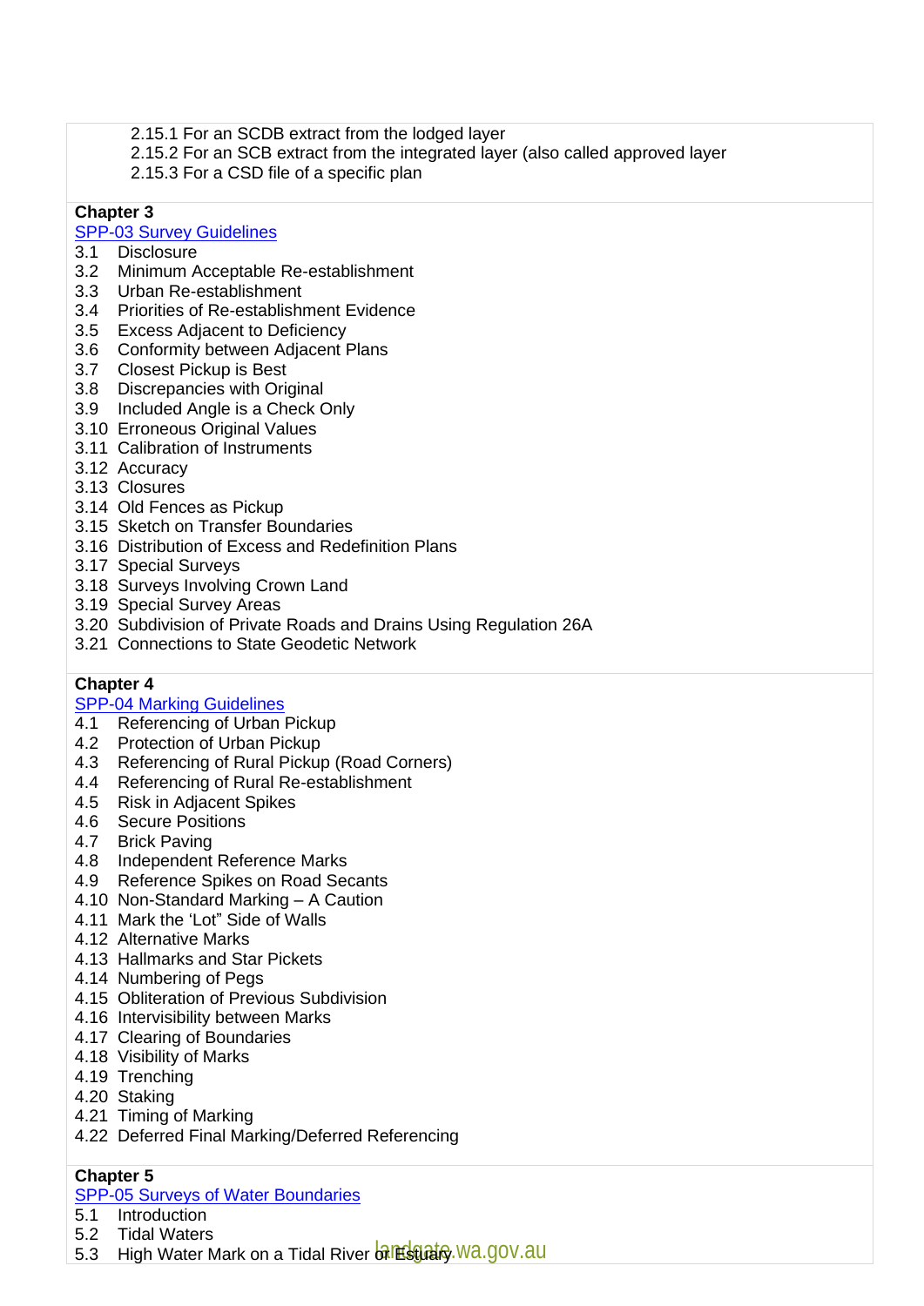- 2.15.1 For an SCDB extract from the lodged layer
- 2.15.2 For an SCB extract from the integrated layer (also called approved layer
- 2.15.3 For a CSD file of a specific plan

## [SPP-03 Survey Guidelines](https://www0.landgate.wa.gov.au/for-individuals/Land-Transactions-toolkit/survey-and-plan-policy-and-procedure-guides/#SPP-03)<br>3.1 Disclosure

- **Disclosure**
- 3.2 Minimum Acceptable Re-establishment
- 3.3 Urban Re-establishment
- 3.4 Priorities of Re-establishment Evidence
- 3.5 Excess Adjacent to Deficiency
- 3.6 Conformity between Adjacent Plans
- 3.7 Closest Pickup is Best
- 3.8 Discrepancies with Original
- 3.9 Included Angle is a Check Only
- 3.10 Erroneous Original Values
- 3.11 Calibration of Instruments
- 3.12 Accuracy
- 3.13 Closures
- 3.14 Old Fences as Pickup
- 3.15 Sketch on Transfer Boundaries
- 3.16 Distribution of Excess and Redefinition Plans
- 3.17 Special Surveys
- 3.18 Surveys Involving Crown Land
- 3.19 Special Survey Areas
- 3.20 Subdivision of Private Roads and Drains Using Regulation 26A
- 3.21 Connections to State Geodetic Network

#### **Chapter 4**

# [SPP-04 Marking Guidelines](https://www0.landgate.wa.gov.au/for-individuals/Land-Transactions-toolkit/survey-and-plan-policy-and-procedure-guides/#SPP-04)<br>4.1 Referencing of Urban

- Referencing of Urban Pickup
- 4.2 Protection of Urban Pickup
- 4.3 Referencing of Rural Pickup (Road Corners)
- 4.4 Referencing of Rural Re-establishment
- 4.5 Risk in Adjacent Spikes
- 4.6 Secure Positions
- 4.7 Brick Paving
- 4.8 Independent Reference Marks
- 4.9 Reference Spikes on Road Secants
- 4.10 Non-Standard Marking A Caution
- 4.11 Mark the 'Lot" Side of Walls
- 4.12 Alternative Marks
- 4.13 Hallmarks and Star Pickets
- 4.14 Numbering of Pegs
- 4.15 Obliteration of Previous Subdivision
- 4.16 Intervisibility between Marks
- 4.17 Clearing of Boundaries
- 4.18 Visibility of Marks
- 4.19 Trenching
- 4.20 Staking
- 4.21 Timing of Marking
- 4.22 Deferred Final Marking/Deferred Referencing

#### **Chapter 5**

#### [SPP-05 Surveys of Water Boundaries](https://www0.landgate.wa.gov.au/for-individuals/Land-Transactions-toolkit/survey-and-plan-policy-and-procedure-guides/#SPP-05)

- 5.1 Introduction
- 5.2 Tidal Waters
- 5.3 High Water Mark on a Tidal River of Estato, Wa.gov.au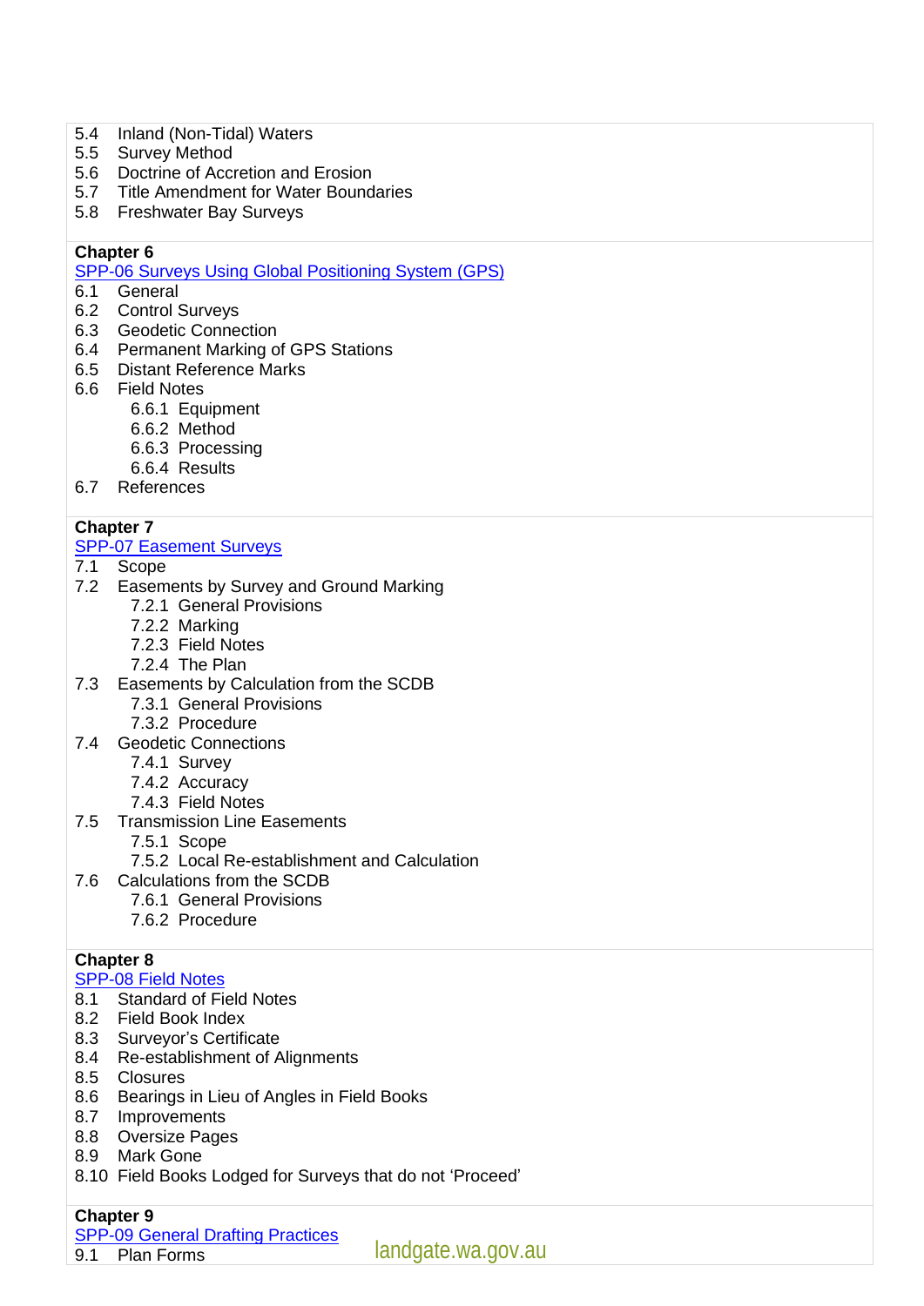- 5.4 Inland (Non-Tidal) Waters
- 5.5 Survey Method
- 5.6 Doctrine of Accretion and Erosion<br>5.7 Title Amendment for Water Bound
- Title Amendment for Water Boundaries
- 5.8 Freshwater Bay Surveys

[SPP-06 Surveys Using Global Positioning System \(GPS\)](https://www0.landgate.wa.gov.au/for-individuals/Land-Transactions-toolkit/survey-and-plan-policy-and-procedure-guides/#SPP-06)

- 6.1 General
- 6.2 Control Surveys
- 6.3 Geodetic Connection
- 6.4 Permanent Marking of GPS Stations
- 6.5 Distant Reference Marks
- 6.6 Field Notes
	- 6.6.1 Equipment
	- 6.6.2 Method
	- 6.6.3 Processing
	- 6.6.4 Results
- 6.7 References

#### **Chapter 7**

# [SPP-07 Easement Surveys](https://www0.landgate.wa.gov.au/for-individuals/Land-Transactions-toolkit/survey-and-plan-policy-and-procedure-guides/#SPP-07)<br>7.1 Scope

- **Scope**
- 7.2 Easements by Survey and Ground Marking
	- 7.2.1 General Provisions
	- 7.2.2 Marking
	- 7.2.3 Field Notes
	- 7.2.4 The Plan
- 7.3 Easements by Calculation from the SCDB
	- 7.3.1 General Provisions
	- 7.3.2 Procedure
- 7.4 Geodetic Connections
	- 7.4.1 Survey
	- 7.4.2 Accuracy
	- 7.4.3 Field Notes
- 7.5 Transmission Line Easements
	- 7.5.1 Scope
	- 7.5.2 Local Re-establishment and Calculation
- 7.6 Calculations from the SCDB
	- 7.6.1 General Provisions
		- 7.6.2 Procedure

#### **Chapter 8**

#### [SPP-08 Field Notes](https://www0.landgate.wa.gov.au/for-individuals/Land-Transactions-toolkit/survey-and-plan-policy-and-procedure-guides/#SPP-08)

- 8.1 Standard of Field Notes
- 8.2 Field Book Index
- 8.3 Surveyor's Certificate
- 8.4 Re-establishment of Alignments
- 8.5 Closures
- 8.6 Bearings in Lieu of Angles in Field Books
- 8.7 Improvements
- 8.8 Oversize Pages
- 8.9 Mark Gone
- 8.10 Field Books Lodged for Surveys that do not 'Proceed'

#### **Chapter 9**

- [SPP-09 General Drafting Practices](https://www0.landgate.wa.gov.au/for-individuals/Land-Transactions-toolkit/survey-and-plan-policy-and-procedure-guides/#SPP-09)
- 9.1 Plan Forms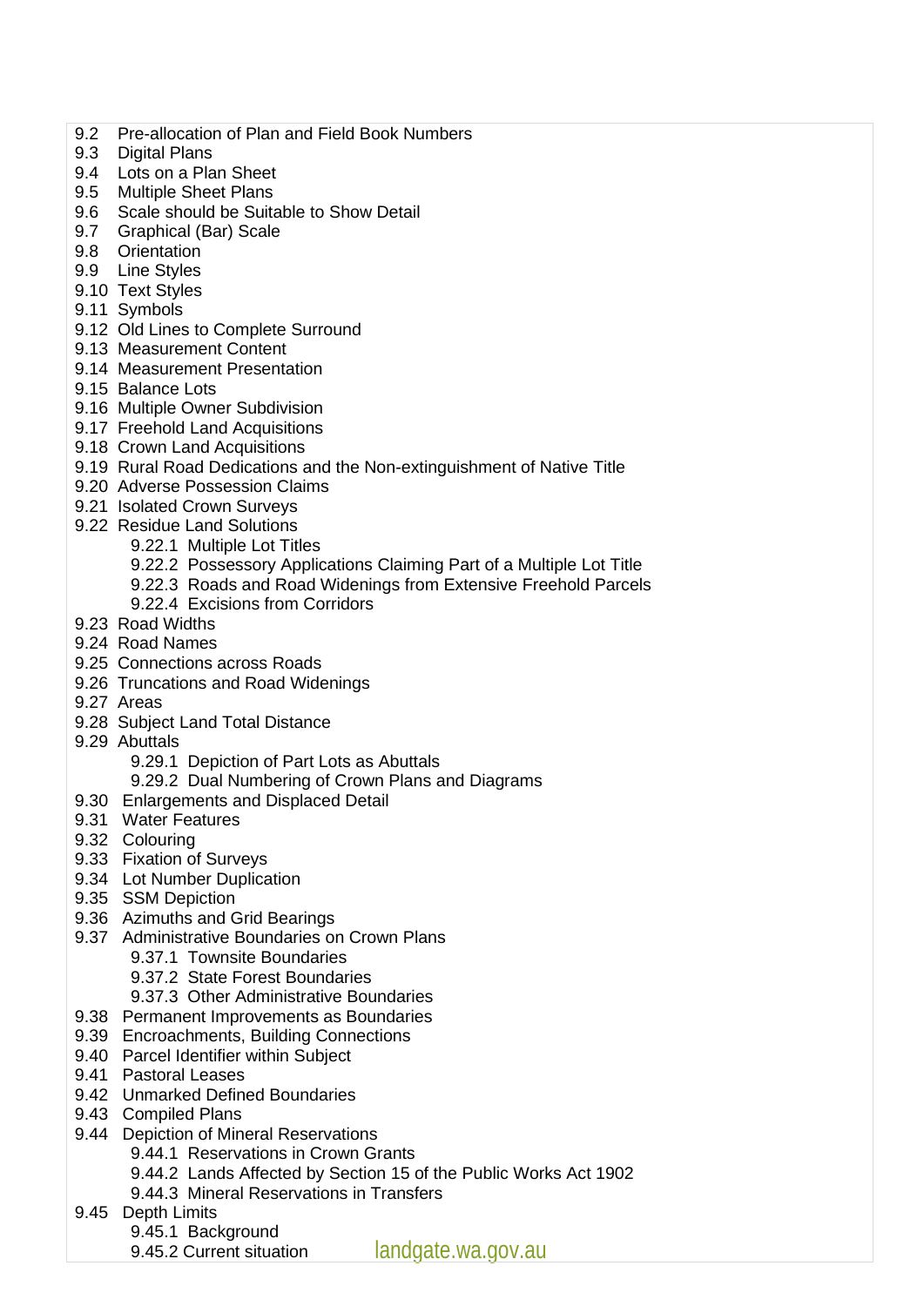- 9.2 Pre-allocation of Plan and Field Book Numbers
- 9.3 Digital Plans
- 9.4 Lots on a Plan Sheet
- 9.5 Multiple Sheet Plans
- 9.6 Scale should be Suitable to Show Detail
- 9.7 Graphical (Bar) Scale
- 9.8 Orientation
- 9.9 Line Styles
- 9.10 Text Styles
- 9.11 Symbols
- 9.12 Old Lines to Complete Surround
- 9.13 Measurement Content
- 9.14 Measurement Presentation
- 9.15 Balance Lots
- 9.16 Multiple Owner Subdivision
- 9.17 Freehold Land Acquisitions
- 9.18 Crown Land Acquisitions
- 9.19 Rural Road Dedications and the Non-extinguishment of Native Title
- 9.20 Adverse Possession Claims
- 9.21 Isolated Crown Surveys
- 9.22 Residue Land Solutions
	- 9.22.1 Multiple Lot Titles
	- 9.22.2 Possessory Applications Claiming Part of a Multiple Lot Title
	- 9.22.3 Roads and Road Widenings from Extensive Freehold Parcels
	- 9.22.4 Excisions from Corridors
- 9.23 Road Widths
- 9.24 Road Names
- 9.25 Connections across Roads
- 9.26 Truncations and Road Widenings
- 9.27 Areas
- 9.28 Subject Land Total Distance
- 9.29 Abuttals
	- 9.29.1 Depiction of Part Lots as Abuttals
	- 9.29.2 Dual Numbering of Crown Plans and Diagrams
- 9.30 Enlargements and Displaced Detail
- 9.31 Water Features
- 9.32 Colouring
- 9.33 Fixation of Surveys
- 9.34 Lot Number Duplication
- 9.35 SSM Depiction
- 9.36 Azimuths and Grid Bearings
- 9.37 Administrative Boundaries on Crown Plans
	- 9.37.1 Townsite Boundaries
	- 9.37.2 State Forest Boundaries
	- 9.37.3 Other Administrative Boundaries
- 9.38 Permanent Improvements as Boundaries
- 9.39 Encroachments, Building Connections
- 9.40 Parcel Identifier within Subject
- 9.41 Pastoral Leases
- 9.42 Unmarked Defined Boundaries
- 9.43 Compiled Plans
- 9.44 Depiction of Mineral Reservations
	- 9.44.1 Reservations in Crown Grants
	- 9.44.2 Lands Affected by Section 15 of the Public Works Act 1902
	- 9.44.3 Mineral Reservations in Transfers
- 9.45 Depth Limits
	- 9.45.1 Background
	- 9.45.2 Current situation
- landgate.wa.gov.au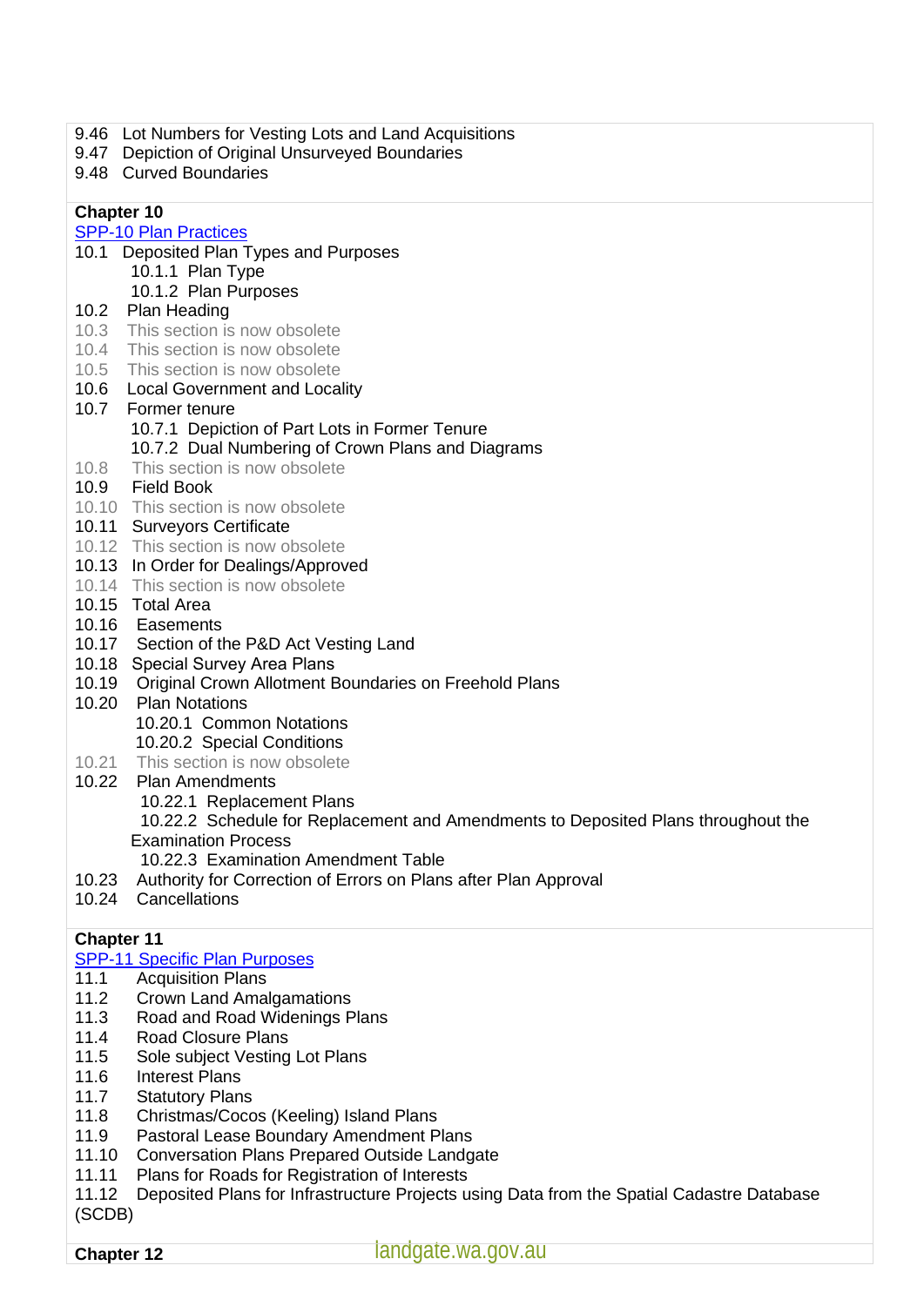- 9.46 Lot Numbers for Vesting Lots and Land Acquisitions
- 9.47 Depiction of Original Unsurveyed Boundaries
- 9.48 Curved Boundaries

#### [SPP-10 Plan Practices](https://www0.landgate.wa.gov.au/for-individuals/Land-Transactions-toolkit/survey-and-plan-policy-and-procedure-guides/#SPP-10)

- 10.1 Deposited Plan Types and Purposes
	- 10.1.1 Plan Type
	- 10.1.2 Plan Purposes
- 10.2 Plan Heading
- 10.3 This section is now obsolete
- 10.4 This section is now obsolete
- 10.5 This section is now obsolete
- 10.6 Local Government and Locality
- 10.7 Former tenure 10.7.1 Depiction of Part Lots in Former Tenure 10.7.2 Dual Numbering of Crown Plans and Diagrams 10.8 This section is now obsolete
- 10.9 Field Book
- 10.10 This section is now obsolete
- 10.11 Surveyors Certificate
- 10.12 This section is now obsolete
- 10.13 In Order for Dealings/Approved
- 10.14 This section is now obsolete
- 10.15 Total Area
- 10.16 Easements
- 10.17 Section of the P&D Act Vesting Land
- 10.18 Special Survey Area Plans
- 10.19 Original Crown Allotment Boundaries on Freehold Plans
- 10.20 Plan Notations
	- 10.20.1 Common Notations
	- 10.20.2 Special Conditions
- 10.21 This section is now obsolete
- 10.22 Plan Amendments
	- 10.22.1 Replacement Plans

 10.22.2 Schedule for Replacement and Amendments to Deposited Plans throughout the Examination Process

- 10.22.3 Examination Amendment Table
- 10.23 Authority for Correction of Errors on Plans after Plan Approval
- 10.24 Cancellations

#### **Chapter 11**

- [SPP-11 Specific Plan Purposes](https://www0.landgate.wa.gov.au/for-individuals/Land-Transactions-toolkit/survey-and-plan-policy-and-procedure-guides/#SPP-11)
- 11.1 Acquisition Plans
- 11.2 Crown Land Amalgamations
- 11.3 Road and Road Widenings Plans
- 11.4 Road Closure Plans
- 11.5 Sole subject Vesting Lot Plans
- 11.6 Interest Plans
- 11.7 Statutory Plans
- 11.8 Christmas/Cocos (Keeling) Island Plans
- 11.9 Pastoral Lease Boundary Amendment Plans
- 11.10 Conversation Plans Prepared Outside Landgate
- 11.11 Plans for Roads for Registration of Interests
- 11.12 Deposited Plans for Infrastructure Projects using Data from the Spatial Cadastre Database (SCDB)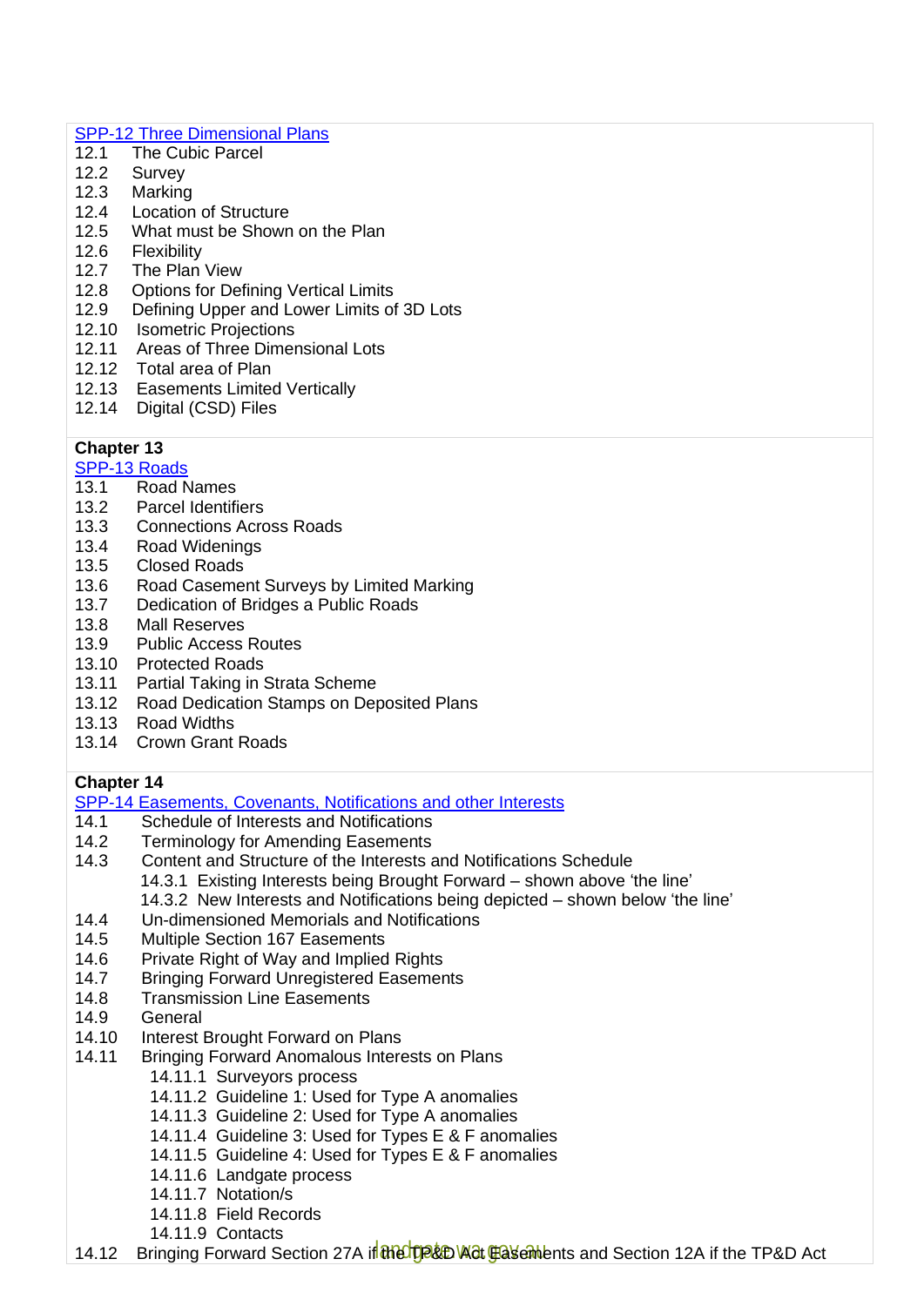#### [SPP-12 Three Dimensional Plans](https://www0.landgate.wa.gov.au/for-individuals/Land-Transactions-toolkit/survey-and-plan-policy-and-procedure-guides/#SPP-12)

- 12.1 The Cubic Parcel<br>12.2 Survey
- Survey
- 12.3 Marking<br>12.4 Location
- 
- 12.4 Location of Structure<br>12.5 What must be Shown 12.5 What must be Shown on the Plan<br>12.6 Flexibility
- **Flexibility**
- 12.7 The Plan View
- 12.8 Options for Defining Vertical Limits
- 12.9 Defining Upper and Lower Limits of 3D Lots
- 12.10 Isometric Projections
- 12.11 Areas of Three Dimensional Lots
- 12.12 Total area of Plan
- 12.13 Easements Limited Vertically
- 12.14 Digital (CSD) Files

#### **Chapter 13**

[SPP-13 Roads](https://www0.landgate.wa.gov.au/for-individuals/Land-Transactions-toolkit/survey-and-plan-policy-and-procedure-guides/#SPP-13)<br>13.1 Road N

- Road Names
- 13.2 Parcel Identifiers
- 13.3 Connections Across Roads
- 13.4 Road Widenings
- 13.5 Closed Roads
- 13.6 Road Casement Surveys by Limited Marking
- 13.7 Dedication of Bridges a Public Roads
- 13.8 Mall Reserves
- 13.9 Public Access Routes
- 13.10 Protected Roads
- 13.11 Partial Taking in Strata Scheme
- 13.12 Road Dedication Stamps on Deposited Plans
- 13.13 Road Widths
- 13.14 Crown Grant Roads

#### **Chapter 14**

[SPP-14 Easements, Covenants,](https://www0.landgate.wa.gov.au/for-individuals/Land-Transactions-toolkit/survey-and-plan-policy-and-procedure-guides/#SPP-14) Notifications and other Interests

- 14.1 Schedule of Interests and Notifications
- 14.2 Terminology for Amending Easements<br>14.3 Content and Structure of the Interests a
- Content and Structure of the Interests and Notifications Schedule
	- 14.3.1 Existing Interests being Brought Forward shown above 'the line'
		- 14.3.2 New Interests and Notifications being depicted shown below 'the line'
- 14.4 Un-dimensioned Memorials and Notifications
- 14.5 Multiple Section 167 Easements
- 14.6 Private Right of Way and Implied Rights
- 14.7 Bringing Forward Unregistered Easements
- 14.8 Transmission Line Easements
- 14.9 General
- 14.10 Interest Brought Forward on Plans
- 14.11 Bringing Forward Anomalous Interests on Plans
	- 14.11.1 Surveyors process
		- 14.11.2 Guideline 1: Used for Type A anomalies
		- 14.11.3 Guideline 2: Used for Type A anomalies
	- 14.11.4 Guideline 3: Used for Types E & F anomalies
	- 14.11.5 Guideline 4: Used for Types E & F anomalies
	- 14.11.6 Landgate process
	- 14.11.7 Notation/s
	- 14.11.8 Field Records
	- 14.11.9 Contacts

14.12 Bringing Forward Section 27A if the TP&D Wat Faschbents and Section 12A if the TP&D Act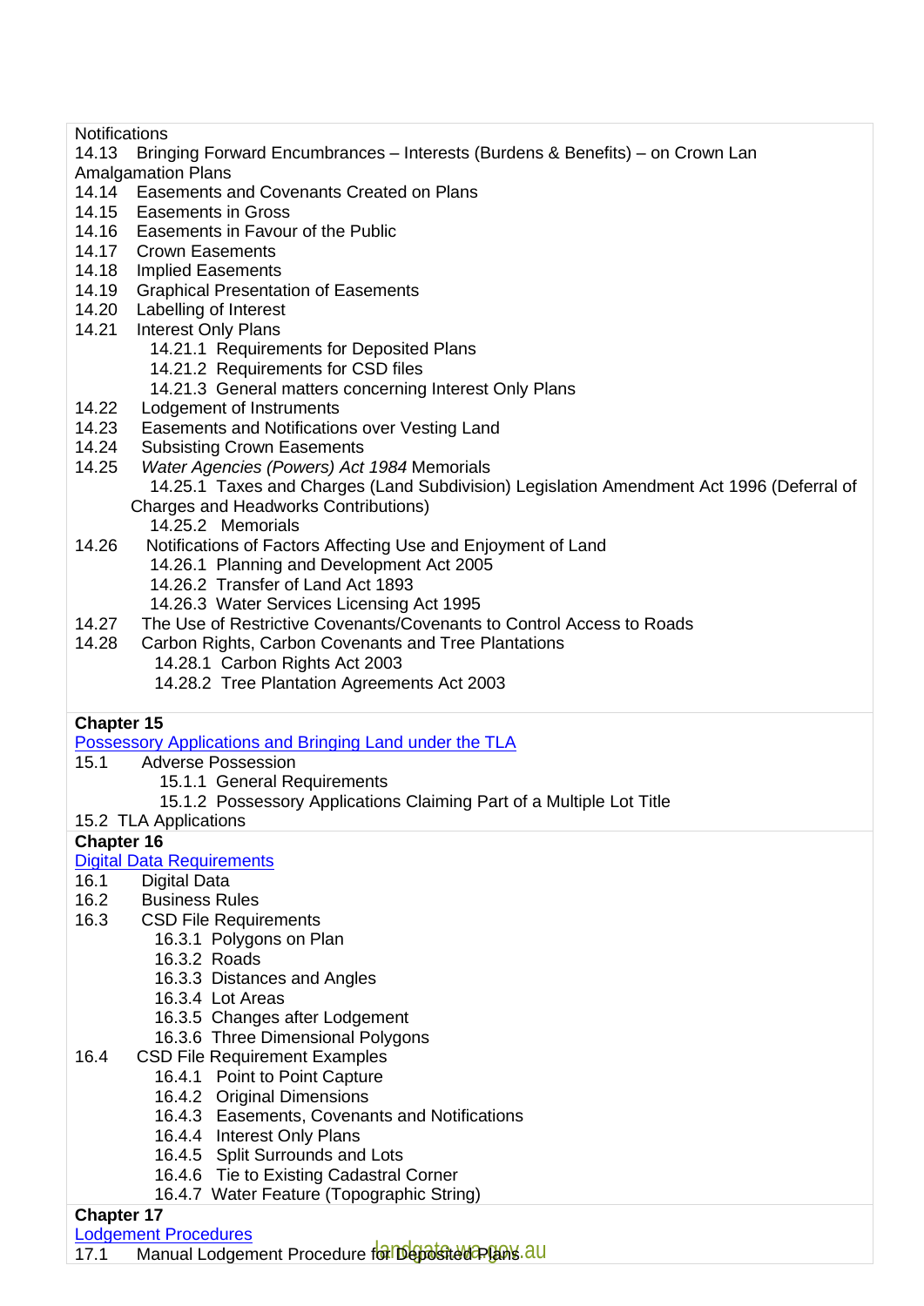**Notifications** 

- 14.13 Bringing Forward Encumbrances Interests (Burdens & Benefits) on Crown Lan Amalgamation Plans
- 14.14 Easements and Covenants Created on Plans
- 14.15 Easements in Gross
- 14.16 Easements in Favour of the Public
- 14.17 Crown Easements
- 14.18 Implied Easements
- 14.19 Graphical Presentation of Easements
- 14.20 Labelling of Interest
- 14.21 Interest Only Plans
	- 14.21.1 Requirements for Deposited Plans
	- 14.21.2 Requirements for CSD files
	- 14.21.3 General matters concerning Interest Only Plans
- 14.22 Lodgement of Instruments
- 14.23 Easements and Notifications over Vesting Land
- 14.24 Subsisting Crown Easements
- 14.25 *Water Agencies (Powers) Act 1984* Memorials 14.25.1 Taxes and Charges (Land Subdivision) Legislation Amendment Act 1996 (Deferral of Charges and Headworks Contributions) 14.25.2 Memorials
- 14.26 Notifications of Factors Affecting Use and Enjoyment of Land
	- 14.26.1 Planning and Development Act 2005
	- 14.26.2 Transfer of Land Act 1893
	- 14.26.3 Water Services Licensing Act 1995
- 14.27 The Use of Restrictive Covenants/Covenants to Control Access to Roads<br>14.28 Carbon Rights, Carbon Covenants and Tree Plantations
- Carbon Rights, Carbon Covenants and Tree Plantations
	- 14.28.1 Carbon Rights Act 2003
		- 14.28.2 Tree Plantation Agreements Act 2003

#### **Chapter 15**

[Possessory Applications and Bringing Land](https://www0.landgate.wa.gov.au/for-individuals/Land-Transactions-toolkit/survey-and-plan-policy-and-procedure-guides/#SPP-15) under the TLA

- 15.1 Adverse Possession
	- 15.1.1 General Requirements
	- 15.1.2 Possessory Applications Claiming Part of a Multiple Lot Title
- 15.2 TLA Applications

#### **Chapter 16**

#### [Digital Data Requirements](https://www0.landgate.wa.gov.au/for-individuals/Land-Transactions-toolkit/survey-and-plan-policy-and-procedure-guides/#SPP-16)

- 16.1 Digital Data
- 16.2 Business Rules
- 16.3 CSD File Requirements
	- 16.3.1 Polygons on Plan
		- 16.3.2 Roads
		- 16.3.3 Distances and Angles
		- 16.3.4 Lot Areas
		- 16.3.5 Changes after Lodgement
		- 16.3.6 Three Dimensional Polygons
- 16.4 CSD File Requirement Examples
	- 16.4.1 Point to Point Capture
	- 16.4.2 Original Dimensions
	- 16.4.3 Easements, Covenants and Notifications
	- 16.4.4 Interest Only Plans
	- 16.4.5 Split Surrounds and Lots
	- 16.4.6 Tie to Existing Cadastral Corner
	- 16.4.7 Water Feature (Topographic String)

#### **Chapter 17**

[Lodgement Procedures](https://www0.landgate.wa.gov.au/for-individuals/Land-Transactions-toolkit/survey-and-plan-policy-and-procedure-guides/#SPP-17)

17.1 Manual Lodgement Procedure for Deposited Plans. au